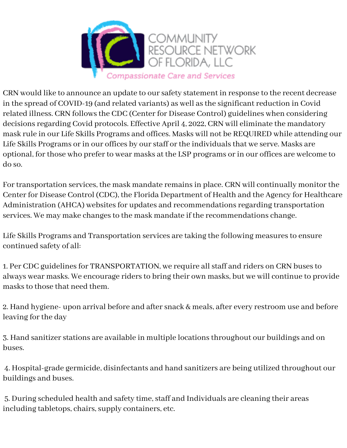

CRN would like to announce an update to our safety statement in response to the recent decrease in the spread of COVID-19 (and related variants) as well as the significant reduction in Covid related illness. CRN follows the CDC (Center for Disease Control) guidelines when considering decisions regarding Covid protocols. Effective April 4, 2022, CRN will eliminate the mandatory mask rule in our Life Skills Programs and offices. Masks will not be REQUIRED while attending our Life Skills Programs or in our offices by our staff or the individuals that we serve. Masks are optional, for those who prefer to wear masks at the LSP programs or in our offices are welcome to do so.

For transportation services, the mask mandate remains in place. CRN will continually monitor the Center for Disease Control (CDC), the Florida Department of Health and the Agency for Healthcare Administration (AHCA) websites for updates and recommendations regarding transportation services. We may make changes to the mask mandate if the recommendations change.

Life Skills Programs and Transportation services are taking the following measures to ensure continued safety of all:

1. Per CDC guidelines for TRANSPORTATION, we require all staff and riders on CRN buses to always wear masks. We encourage riders to bring their own masks, but we will continue to provide masks to those that need them.

2. Hand hygiene- upon arrival before and after snack & meals, after every restroom use and before leaving for the day

3. Hand sanitizer stations are available in multiple locations throughout our buildings and on buses.

4. Hospital-grade germicide, disinfectants and hand sanitizers are being utilized throughout our buildings and buses.

5. During scheduled health and safety time, staff and Individuals are cleaning their areas including tabletops, chairs, supply containers, etc.